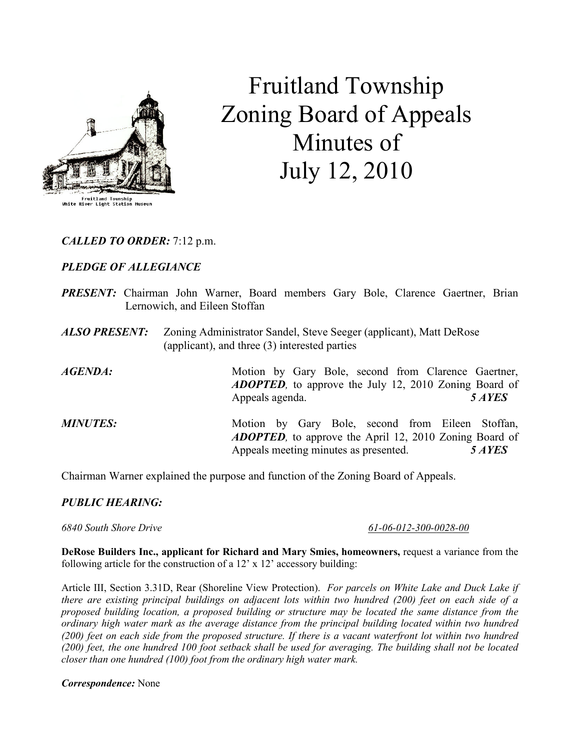

Fruitland Township Zoning Board of Appeals Minutes of July 12, 2010

CALLED TO ORDER: 7:12 p.m.

# PLEDGE OF ALLEGIANCE

- PRESENT: Chairman John Warner, Board members Gary Bole, Clarence Gaertner, Brian Lernowich, and Eileen Stoffan
- ALSO PRESENT: Zoning Administrator Sandel, Steve Seeger (applicant), Matt DeRose (applicant), and three (3) interested parties

AGENDA: Motion by Gary Bole, second from Clarence Gaertner, ADOPTED, to approve the July 12, 2010 Zoning Board of Appeals agenda. 5 AYES

MINUTES: Motion by Gary Bole, second from Eileen Stoffan, ADOPTED, to approve the April 12, 2010 Zoning Board of Appeals meeting minutes as presented. 5 AYES

Chairman Warner explained the purpose and function of the Zoning Board of Appeals.

#### PUBLIC HEARING:

6840 South Shore Drive 61-06-012-300-0028-00

DeRose Builders Inc., applicant for Richard and Mary Smies, homeowners, request a variance from the following article for the construction of a  $12' \times 12'$  accessory building:

Article III, Section 3.31D, Rear (Shoreline View Protection). For parcels on White Lake and Duck Lake if there are existing principal buildings on adjacent lots within two hundred (200) feet on each side of a proposed building location, a proposed building or structure may be located the same distance from the ordinary high water mark as the average distance from the principal building located within two hundred (200) feet on each side from the proposed structure. If there is a vacant waterfront lot within two hundred (200) feet, the one hundred 100 foot setback shall be used for averaging. The building shall not be located closer than one hundred (100) foot from the ordinary high water mark.

#### Correspondence: None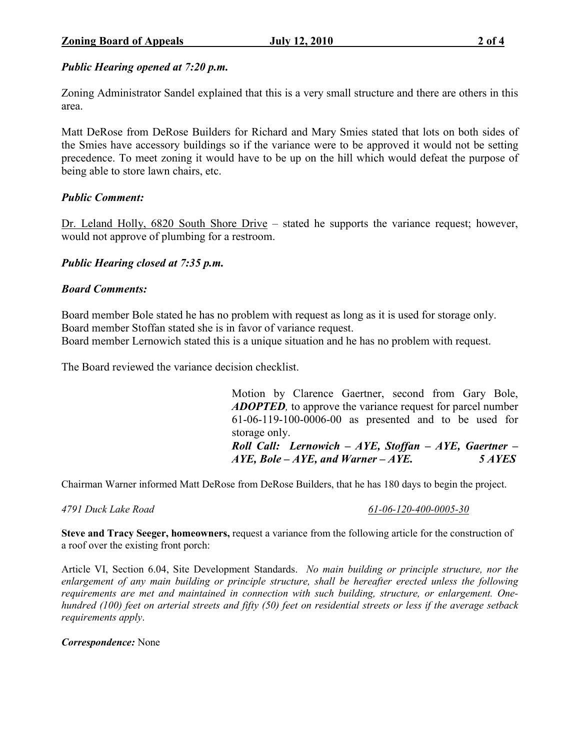# Public Hearing opened at 7:20 p.m.

Zoning Administrator Sandel explained that this is a very small structure and there are others in this area.

Matt DeRose from DeRose Builders for Richard and Mary Smies stated that lots on both sides of the Smies have accessory buildings so if the variance were to be approved it would not be setting precedence. To meet zoning it would have to be up on the hill which would defeat the purpose of being able to store lawn chairs, etc.

# Public Comment:

Dr. Leland Holly, 6820 South Shore Drive – stated he supports the variance request; however, would not approve of plumbing for a restroom.

# Public Hearing closed at 7:35 p.m.

### Board Comments:

Board member Bole stated he has no problem with request as long as it is used for storage only. Board member Stoffan stated she is in favor of variance request.

Board member Lernowich stated this is a unique situation and he has no problem with request.

The Board reviewed the variance decision checklist.

Motion by Clarence Gaertner, second from Gary Bole, **ADOPTED**, to approve the variance request for parcel number 61-06-119-100-0006-00 as presented and to be used for storage only. Roll Call: Lernowich –  $AYE$ , Stoffan – AYE, Gaertner –  $AYE$ , Bole – AYE, and Warner – AYE.  $5 AYES$ 

Chairman Warner informed Matt DeRose from DeRose Builders, that he has 180 days to begin the project.

#### 4791 Duck Lake Road 61-06-120-400-0005-30

Steve and Tracy Seeger, homeowners, request a variance from the following article for the construction of a roof over the existing front porch:

Article VI, Section 6.04, Site Development Standards. No main building or principle structure, nor the enlargement of any main building or principle structure, shall be hereafter erected unless the following requirements are met and maintained in connection with such building, structure, or enlargement. Onehundred (100) feet on arterial streets and fifty (50) feet on residential streets or less if the average setback requirements apply.

Correspondence: None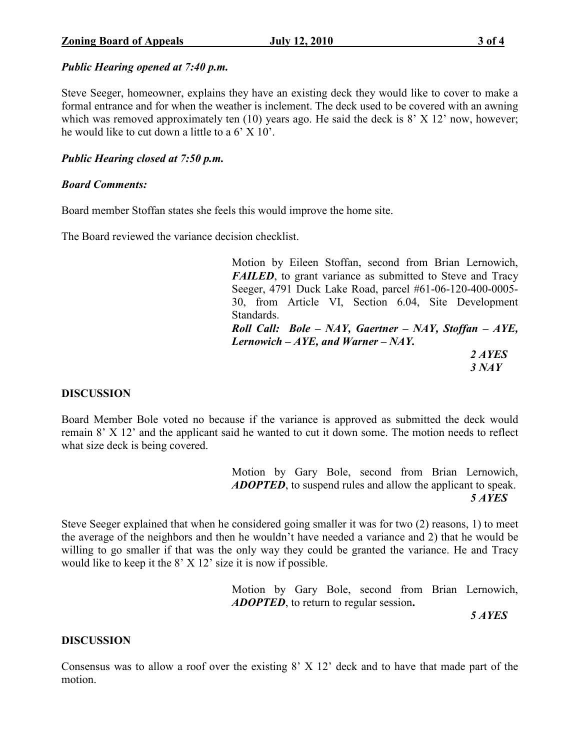# Public Hearing opened at 7:40 p.m.

Steve Seeger, homeowner, explains they have an existing deck they would like to cover to make a formal entrance and for when the weather is inclement. The deck used to be covered with an awning which was removed approximately ten (10) years ago. He said the deck is 8' X 12' now, however; he would like to cut down a little to a  $6'$  X  $10'$ .

# Public Hearing closed at 7:50 p.m.

# Board Comments:

Board member Stoffan states she feels this would improve the home site.

The Board reviewed the variance decision checklist.

Motion by Eileen Stoffan, second from Brian Lernowich, FAILED, to grant variance as submitted to Steve and Tracy Seeger, 4791 Duck Lake Road, parcel #61-06-120-400-0005- 30, from Article VI, Section 6.04, Site Development Standards. Roll Call: Bole – NAY, Gaertner – NAY, Stoffan – AYE, Lernowich  $-AYE$ , and Warner  $-NAY$ . 2 AYES  $3$  NAY

# **DISCUSSION**

Board Member Bole voted no because if the variance is approved as submitted the deck would remain 8' X 12' and the applicant said he wanted to cut it down some. The motion needs to reflect what size deck is being covered.

 Motion by Gary Bole, second from Brian Lernowich, ADOPTED, to suspend rules and allow the applicant to speak. 5 AYES

Steve Seeger explained that when he considered going smaller it was for two (2) reasons, 1) to meet the average of the neighbors and then he wouldn't have needed a variance and 2) that he would be willing to go smaller if that was the only way they could be granted the variance. He and Tracy would like to keep it the 8' X 12' size it is now if possible.

> Motion by Gary Bole, second from Brian Lernowich, ADOPTED, to return to regular session.

5 AYES

# **DISCUSSION**

Consensus was to allow a roof over the existing 8' X 12' deck and to have that made part of the motion.